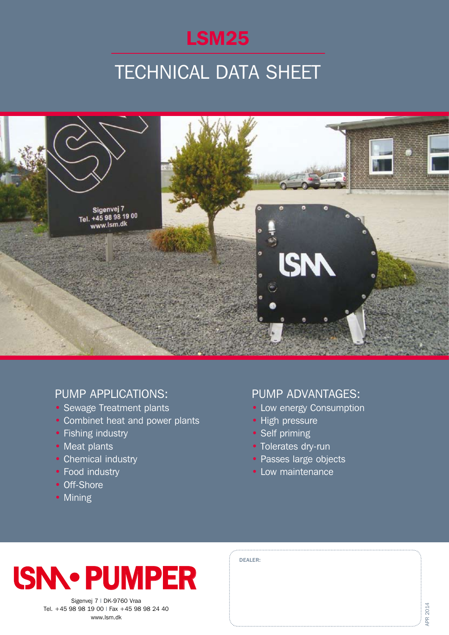

## **TECHNICAL DATA SHEET**



### PUMP APPLICATIONS:

- Sewage Treatment plants
- Combinet heat and power plants
- Fishing industry
- Meat plants
- Chemical industry
- Food industry
- Off-Shore
- Mining

### Pump Advantages:

- Low energy Consumption
- High pressure
- Self priming

Dealer:

- Tolerates dry-run
- Passes large objects
- Low maintenance



Sigenvej 7 | DK-9760 Vraa Tel. +45 98 98 19 00 I Fax +45 98 98 24 40 www.lsm.dk

| ╮ |
|---|
|   |
| ś |
| ╲ |
|   |
|   |
| ł |
| L |
|   |